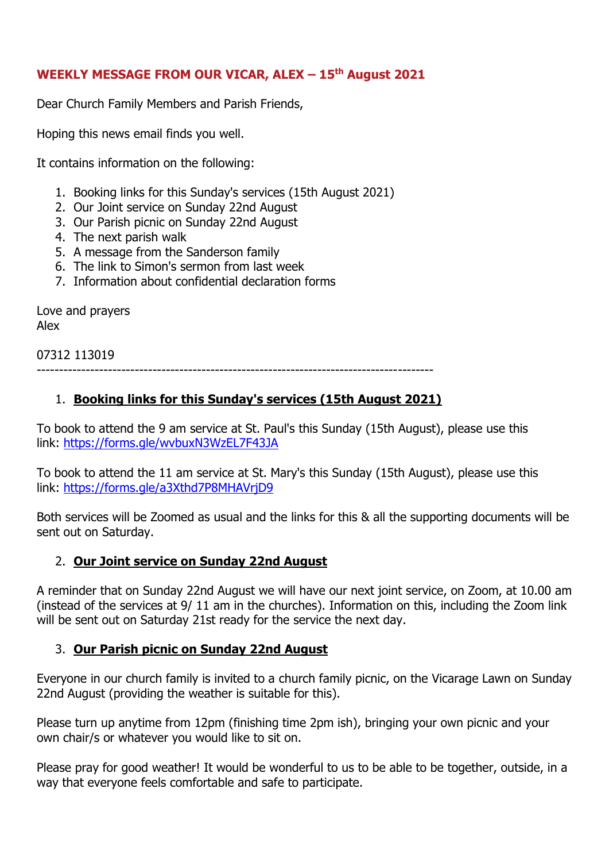### **WEEKLY MESSAGE FROM OUR VICAR, ALEX – 15 th August 2021**

Dear Church Family Members and Parish Friends,

Hoping this news email finds you well.

It contains information on the following:

- 1. Booking links for this Sunday's services (15th August 2021)
- 2. Our Joint service on Sunday 22nd August
- 3. Our Parish picnic on Sunday 22nd August
- 4. The next parish walk
- 5. A message from the Sanderson family
- 6. The link to Simon's sermon from last week
- 7. Information about confidential declaration forms

Love and prayers Alex

07312 113019 -----------------------------------------------------------------------------------------

## 1. **Booking links for this Sunday's services (15th August 2021)**

To book to attend the 9 am service at St. Paul's this Sunday (15th August), please use this link: <https://forms.gle/wvbuxN3WzEL7F43JA>

To book to attend the 11 am service at St. Mary's this Sunday (15th August), please use this link: <https://forms.gle/a3Xthd7P8MHAVrjD9>

Both services will be Zoomed as usual and the links for this & all the supporting documents will be sent out on Saturday.

### 2. **Our Joint service on Sunday 22nd August**

A reminder that on Sunday 22nd August we will have our next joint service, on Zoom, at 10.00 am (instead of the services at 9/ 11 am in the churches). Information on this, including the Zoom link will be sent out on Saturday 21st ready for the service the next day.

### 3. **Our Parish picnic on Sunday 22nd August**

Everyone in our church family is invited to a church family picnic, on the Vicarage Lawn on Sunday 22nd August (providing the weather is suitable for this).

Please turn up anytime from 12pm (finishing time 2pm ish), bringing your own picnic and your own chair/s or whatever you would like to sit on.

Please pray for good weather! It would be wonderful to us to be able to be together, outside, in a way that everyone feels comfortable and safe to participate.